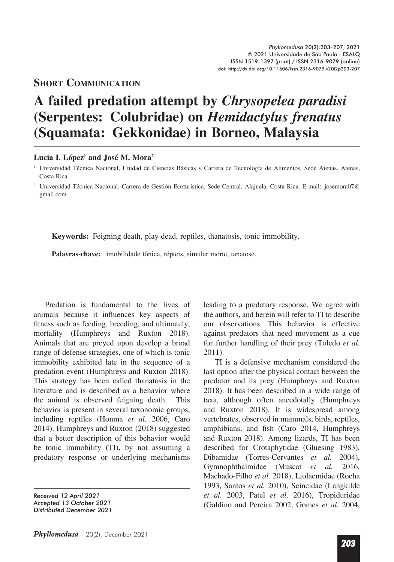## **Short CommuniCation**

## **A failed predation attempt by** *Chrysopelea paradisi* **(Serpentes: Colubridae) on** *Hemidactylus frenatus* **(Squamata: Gekkonidae) in Borneo, Malaysia**

## Lucía I. López<sup>1</sup> and José M. Mora<sup>2</sup>

**Keywords:** Feigning death, play dead, reptiles, thanatosis, tonic immobility.

**Palavras-chave:** imobilidade tônica, répteis, simular morte, tanatose.

Predation is fundamental to the lives of animals because it influences key aspects of fitness such as feeding, breeding, and ultimately, mortality (Humphreys and Ruxton 2018). Animals that are preyed upon develop a broad range of defense strategies, one of which is tonic immobility exhibited late in the sequence of a predation event (Humphreys and Ruxton 2018). This strategy has been called thanatosis in the literature and is described as a behavior where the animal is observed feigning death. This behavior is present in several taxonomic groups, including reptiles (Honma *et al.* 2006, Caro 2014). Humphreys and Ruxton (2018) suggested that a better description of this behavior would be tonic immobility (TI), by not assuming a predatory response or underlying mechanisms

*Received 12 April 2021 Accepted 13 October 2021 Distributed December 2021* leading to a predatory response. We agree with the authors, and herein will refer to TI to describe our observations. This behavior is effective against predators that need movement as a cue for further handling of their prey (Toledo *et al.*  2011).

TI is a defensive mechanism considered the last option after the physical contact between the predator and its prey (Humphreys and Ruxton 2018). It has been described in a wide range of taxa, although often anecdotally (Humphreys and Ruxton 2018). It is widespread among vertebrates, observed in mammals, birds, reptiles, amphibians, and fish (Caro 2014, Humphreys and Ruxton 2018). Among lizards, TI has been described for Crotaphytidae (Gluesing 1983), Dibamidae (Torres-Cervantes *et al.* 2004), Gymnophthalmidae (Muscat *et al.* 2016, Machado-Filho *et al.* 2018), Liolaemidae (Rocha 1993, Santos *et al.* 2010), Scincidae (Langkilde *et al.* 2003, Patel *et al.* 2016), Tropiduridae (Galdino and Pereira 2002, Gomes *et al.* 2004,

<sup>1</sup> Universidad Técnica Nacional, Unidad de Ciencias Básicas y Carrera de Tecnología de Alimentos, Sede Atenas. Atenas, Costa Rica.

<sup>2</sup> Universidad Técnica Nacional, Carrera de Gestión Ecoturística, Sede Central. Alajuela, Costa Rica. E-mail: josemora07@ gmail.com.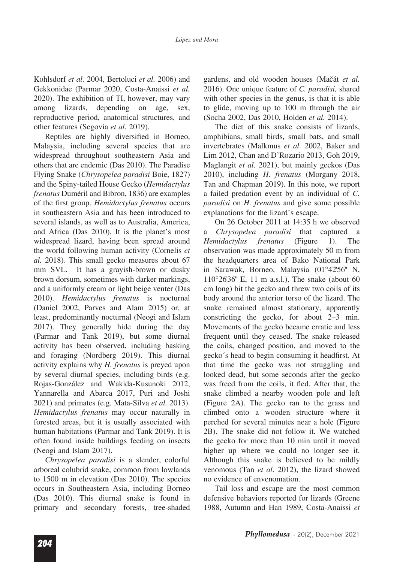Kohlsdorf *et al.* 2004, Bertoluci *et al.* 2006) and Gekkonidae (Parmar 2020, Costa-Anaissi *et al.*  2020). The exhibition of TI, however, may vary among lizards, depending on age, sex, reproductive period, anatomical structures, and other features (Segovia *et al.* 2019).

Reptiles are highly diversified in Borneo, Malaysia, including several species that are widespread throughout southeastern Asia and others that are endemic (Das 2010). The Paradise Flying Snake (*Chrysopelea paradisi* Boie, 1827) and the Spiny-tailed House Gecko (*Hemidactylus frenatus* Duméril and Bibron, 1836) are examples of the first group. *Hemidactylus frenatus* occurs in southeastern Asia and has been introduced to several islands, as well as to Australia, America, and Africa (Das 2010). It is the planet's most widespread lizard, having been spread around the world following human activity (Cornelis *et al.* 2018)*.* This small gecko measures about 67 mm SVL. It has a grayish-brown or dusky brown dorsum, sometimes with darker markings, and a uniformly cream or light beige venter (Das 2010). *Hemidactylus frenatus* is nocturnal (Daniel 2002, Parves and Alam 2015) or, at least, predominantly nocturnal (Neogi and Islam 2017). They generally hide during the day (Parmar and Tank 2019), but some diurnal activity has been observed, including basking and foraging (Nordberg 2019). This diurnal activity explains why *H. frenatus* is preyed upon by several diurnal species, including birds (e.g. Rojas-González and Wakida-Kusunoki 2012, Yannarella and Abarca 2017, Puri and Joshi 2021) and primates (e.g. Mata-Silva *et al.* 2013). *Hemidactylus frenatus* may occur naturally in forested areas, but it is usually associated with human habitations (Parmar and Tank 2019). It is often found inside buildings feeding on insects (Neogi and Islam 2017).

*Chrysopelea paradisi* is a slender, colorful arboreal colubrid snake, common from lowlands to 1500 m in elevation (Das 2010). The species occurs in Southeastern Asia, including Borneo (Das 2010). This diurnal snake is found in primary and secondary forests, tree-shaded gardens, and old wooden houses (Mačát et al. 2016). One unique feature of *C. paradisi,* shared with other species in the genus, is that it is able to glide, moving up to 100 m through the air (Socha 2002, Das 2010, Holden *et al.* 2014).

The diet of this snake consists of lizards, amphibians, small birds, small bats, and small invertebrates (Malkmus *et al.* 2002, Baker and Lim 2012, Chan and D'Rozario 2013, Goh 2019, Maglangit *et al.* 2021), but mainly geckos (Das 2010), including *H. frenatus* (Morgany 2018, Tan and Chapman 2019). In this note, we report a failed predation event by an individual of *C. paradisi* on *H. frenatus* and give some possible explanations for the lizard's escape.

On 26 October 2011 at 14:35 h we observed a *Chrysopelea paradisi* that captured a *Hemidactylus frenatus* (Figure 1). The observation was made approximately 50 m from the headquarters area of Bako National Park in Sarawak, Borneo, Malaysia (01°42'56" N,  $110^{\circ}26'36''$  E, 11 m a.s.l.). The snake (about 60 cm long) bit the gecko and threw two coils of its body around the anterior torso of the lizard. The snake remained almost stationary, apparently constricting the gecko, for about 2–3 min. Movements of the gecko became erratic and less frequent until they ceased. The snake released the coils, changed position, and moved to the gecko's head to begin consuming it headfirst. At that time the gecko was not struggling and looked dead, but some seconds after the gecko was freed from the coils, it fled. After that, the snake climbed a nearby wooden pole and left (Figure 2A). The gecko ran to the grass and climbed onto a wooden structure where it perched for several minutes near a hole (Figure 2B). The snake did not follow it. We watched the gecko for more than 10 min until it moved higher up where we could no longer see it. Although this snake is believed to be mildly venomous (Tan *et al.* 2012), the lizard showed no evidence of envenomation.

Tail loss and escape are the most common defensive behaviors reported for lizards (Greene 1988, Autumn and Han 1989, Costa-Anaissi *et*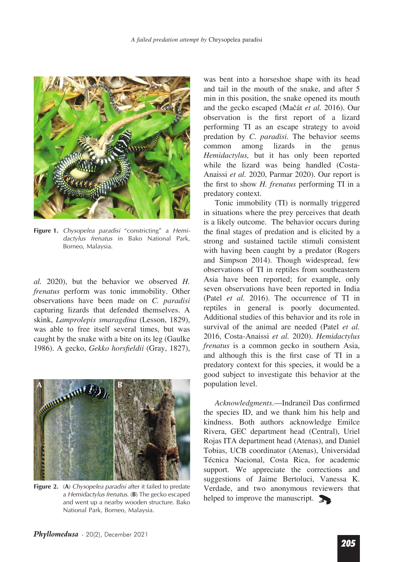

**Figure 1.** *Chysopelea paradisi* "constricting" a *Hemidactylus frenatus* in Bako National Park, Borneo, Malaysia.

*al.* 2020), but the behavior we observed *H. frenatus* perform was tonic immobility. Other observations have been made on *C. paradisi* capturing lizards that defended themselves. A skink, *Lamprolepis smaragdina* (Lesson, 1829), was able to free itself several times, but was caught by the snake with a bite on its leg (Gaulke 1986). A gecko, *Gekko horsfeldii* (Gray, 1827),



**Figure 2.** (**A**) *Chysopelea paradisi* after it failed to predate a *Hemidactylus frenatus.* (**B**) The gecko escaped and went up a nearby wooden structure. Bako National Park, Borneo, Malaysia.

was bent into a horseshoe shape with its head and tail in the mouth of the snake, and after 5 min in this position, the snake opened its mouth and the gecko escaped (Mačát et al. 2016). Our observation is the first report of a lizard performing TI as an escape strategy to avoid predation by *C. paradisi.* The behavior seems common among lizards in the genus *Hemidactylus,* but it has only been reported while the lizard was being handled (Costa-Anaissi *et al.* 2020, Parmar 2020). Our report is the first to show *H. frenatus* performing TI in a predatory context.

Tonic immobility (TI) is normally triggered in situations where the prey perceives that death is a likely outcome. The behavior occurs during the final stages of predation and is elicited by a strong and sustained tactile stimuli consistent with having been caught by a predator (Rogers and Simpson 2014). Though widespread, few observations of TI in reptiles from southeastern Asia have been reported; for example, only seven observations have been reported in India (Patel *et al.* 2016). The occurrence of TI in reptiles in general is poorly documented. Additional studies of this behavior and its role in survival of the animal are needed (Patel *et al.*  2016, Costa-Anaissi *et al.* 2020). *Hemidactylus frenatus* is a common gecko in southern Asia, and although this is the first case of TI in a predatory context for this species, it would be a good subject to investigate this behavior at the population level.

*Acknowledgments*.--Indraneil Das confirmed the species ID, and we thank him his help and kindness. Both authors acknowledge Emilce Rivera, GEC department head (Central), Uriel Rojas ITA department head (Atenas), and Daniel Tobias, UCB coordinator (Atenas), Universidad Técnica Nacional, Costa Rica, for academic support. We appreciate the corrections and suggestions of Jaime Bertoluci, Vanessa K. Verdade, and two anonymous reviewers that helped to improve the manuscript.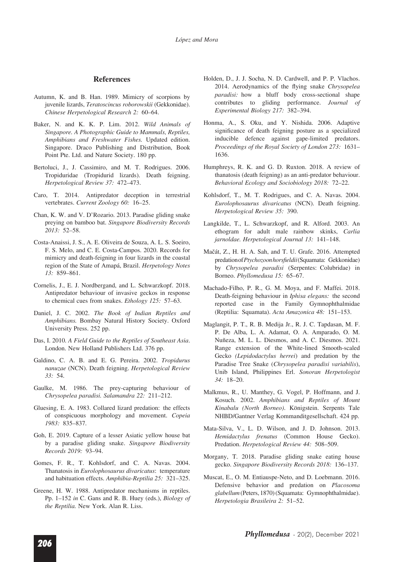## **References**

- Autumn, K. and B. Han. 1989. Mimicry of scorpions by juvenile lizards, *Teratoscincus roborowskii* (Gekkonidae). *Chinese Herpetological Research 2:* 60–64.
- Baker, N. and K. K. P. Lim. 2012. *Wild Animals of Singapore. A Photographic Guide to Mammals, Reptiles, Amphibians and Freshwater Fishes.* Updated edition. Singapore. Draco Publishing and Distribution, Book Point Pte. Ltd. and Nature Society. 180 pp.
- Bertoluci, J., J. Cassimiro, and M. T. Rodrigues. 2006. Tropiduridae (Tropidurid lizards). Death feigning. *Herpetological Review 37:* 472*–*473.
- Caro, T. 2014. Antipredator deception in terrestrial vertebrates. *Current Zoology 60:* 16*–*25.
- Chan, K. W. and V. D'Rozario. 2013. Paradise gliding snake preying on bamboo bat. *Singapore Biodiversity Records 2013:* 52*–*58.
- Costa-Anaissi, J. S., A. E. Oliveira de Souza, A. L. S. Soeiro, F. S. Melo, and C. E. Costa-Campos. 2020. Records for mimicry and death-feigning in four lizards in the coastal region of the State of Amapá, Brazil. *Herpetology Notes 13:* 859–861.
- Cornelis, J., E. J. Nordbergand, and L. Schwarzkopf. 2018. Antipredator behaviour of invasive geckos in response to chemical cues from snakes. *Ethology 125:* 57–63.
- Daniel, J. C. 2002. *The Book of Indian Reptiles and Amphibians.* Bombay Natural History Society. Oxford University Press. 252 pp.
- Das, I. 2010. *A Field Guide to the Reptiles of Southeast Asia*. London. New Holland Publishers Ltd. 376 pp.
- Galdino, C. A. B. and E. G. Pereira. 2002. *Tropidurus nanuzae* (NCN). Death feigning. *Herpetological Review 33:* 54.
- Gaulke, M. 1986. The prey-capturing behaviour of *Chrysopelea paradisi. Salamandra 22:* 211–212.
- Gluesing, E. A. 1983. Collared lizard predation: the effects of conspicuous morphology and movement. *Copeia 1983:* 835–837.
- Goh, E. 2019. Capture of a lesser Asiatic yellow house bat by a paradise gliding snake. *Singapore Biodiversity Records 2019:* 93–94.
- Gomes, F. R., T. Kohlsdorf, and C. A. Navas. 2004. Thanatosis in *Eurolophosaurus divaricatus*: temperature and habituation effects. *Amphibia-Reptilia 25:* 321–325.
- Greene, H. W. 1988. Antipredator mechanisms in reptiles. Pp. 1–152 *in* C. Gans and R. B. Huey (eds.), *Biology of the Reptilia.* New York. Alan R. Liss.
- Holden, D., J. J. Socha, N. D. Cardwell, and P. P. Vlachos. 2014. Aerodynamics of the flying snake *Chrysopelea paradisi:* how a bluff body cross-sectional shape contributes to gliding performance. *Journal of Experimental Biology 217:* 382–394.
- Honma, A., S. Oku, and Y. Nishida. 2006. Adaptive significance of death feigning posture as a specialized inducible defence against gape-limited predators. *Proceedings of the Royal Society of London 273:* 1631– 1636.
- Humphreys, R. K. and G. D. Ruxton. 2018. A review of thanatosis (death feigning) as an anti-predator behaviour. *Behavioral Ecology and Sociobiology 2018:* 72–22.
- Kohlsdorf, T., M. T. Rodrigues, and C. A. Navas. 2004. *Eurolophosaurus divaricatus* (NCN). Death feigning. *Herpetological Review 35:* 390.
- Langkilde, T., L. Schwarzkopf, and R. Alford. 2003. An ethogram for adult male rainbow skinks, *Carlia jarnoldae. Herpetological Journal 13:* 141–148.
- Mačát, Z., H. H. A. Sah, and T. U. Grafe. 2016. Attempted predation of *Ptychozoon horsfeldii* (Squamata: Gekkonidae) by *Chrysopelea paradisi* (Serpentes: Colubridae) in Borneo. *Phyllomedusa 15:* 65–67.
- Machado-Filho, P. R., G. M. Moya, and F. Maffei. 2018. Death-feigning behaviour in *Iphisa elegans:* the second reported case in the Family Gymnophthalmidae (Reptilia: Squamata). *Acta Amazonica 48:* 151–153.
- Maglangit, P. T., R. B. Medija Jr., R. J. C. Tapdasan, M. F. P. De Alba, L. A. Adamat, O. A. Amparado, O. M. Nuñeza, M. L. L. Diesmos, and A. C. Diesmos. 2021. Range extension of the White-lined Smooth-scaled Gecko *(Lepidodactylus herrei*) and predation by the Paradise Tree Snake (*Chrysopelea paradisi variabilis*), Unib Island, Philippines Erl. *Sonoran Herpetologist 34:* 18–20.
- Malkmus, R., U. Manthey, G. Vogel, P. Hoffmann, and J. Kosuch. 2002. *Amphibians and Reptiles of Mount Kinabalu (North Borneo)*. Königstein. Serpents Tale NHBD/Gantner Verlag Kommanditgesellschaft. 424 pp.
- Mata-Silva, V., L. D. Wilson, and J. D. Johnson. 2013. *Hemidactylus frenatus* (Common House Gecko). Predation. *Herpetological Review 44:* 508–509.
- Morgany, T. 2018. Paradise gliding snake eating house gecko. *Singapore Biodiversity Records 2018:* 136–137.
- Muscat, E., O. M. Entiauspe-Neto, and D. Loebmann. 2016. Defensive behavior and predation on *Placosoma glabellum* (Peters, 1870) (Squamata: Gymnophthalmidae). *Herpetologia Brasileira 2:* 51–52.